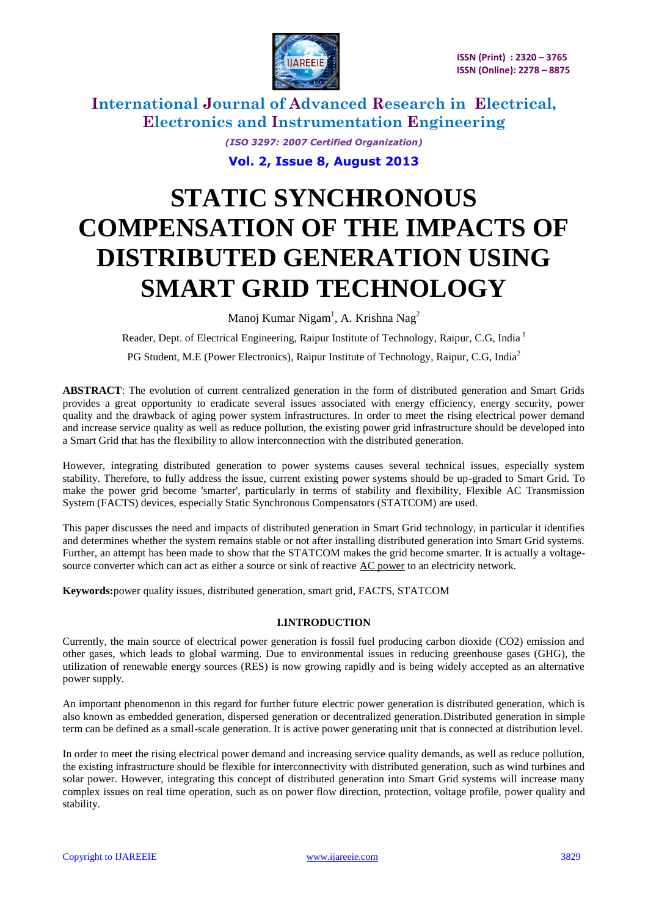

> *(ISO 3297: 2007 Certified Organization)* **Vol. 2, Issue 8, August 2013**

# **STATIC SYNCHRONOUS COMPENSATION OF THE IMPACTS OF DISTRIBUTED GENERATION USING SMART GRID TECHNOLOGY**

Manoj Kumar Nigam<sup>1</sup>, A. Krishna Nag<sup>2</sup>

Reader, Dept. of Electrical Engineering, Raipur Institute of Technology, Raipur, C.G, India<sup>1</sup>

PG Student, M.E (Power Electronics), Raipur Institute of Technology, Raipur, C.G, India<sup>2</sup>

**ABSTRACT**: The evolution of current centralized generation in the form of distributed generation and Smart Grids provides a great opportunity to eradicate several issues associated with energy efficiency, energy security, power quality and the drawback of aging power system infrastructures. In order to meet the rising electrical power demand and increase service quality as well as reduce pollution, the existing power grid infrastructure should be developed into a Smart Grid that has the flexibility to allow interconnection with the distributed generation.

However, integrating distributed generation to power systems causes several technical issues, especially system stability. Therefore, to fully address the issue, current existing power systems should be up-graded to Smart Grid. To make the power grid become 'smarter', particularly in terms of stability and flexibility, Flexible AC Transmission System (FACTS) devices, especially Static Synchronous Compensators (STATCOM) are used.

This paper discusses the need and impacts of distributed generation in Smart Grid technology, in particular it identifies and determines whether the system remains stable or not after installing distributed generation into Smart Grid systems. Further, an attempt has been made to show that the STATCOM makes the grid become smarter. It is actually a voltage-source converter which can act as either a source or sink of reactive [AC power](http://en.wikipedia.org/wiki/AC_power) to an electricity network.

**Keywords:**power quality issues, distributed generation, smart grid*,* FACTS, STATCOM

### **I.INTRODUCTION**

Currently, the main source of electrical power generation is fossil fuel producing carbon dioxide (CO2) emission and other gases, which leads to global warming. Due to environmental issues in reducing greenhouse gases (GHG), the utilization of renewable energy sources (RES) is now growing rapidly and is being widely accepted as an alternative power supply.

An important phenomenon in this regard for further future electric power generation is distributed generation, which is also known as embedded generation, dispersed generation or decentralized generation.Distributed generation in simple term can be defined as a small-scale generation. It is active power generating unit that is connected at distribution level.

In order to meet the rising electrical power demand and increasing service quality demands, as well as reduce pollution, the existing infrastructure should be flexible for interconnectivity with distributed generation, such as wind turbines and solar power. However, integrating this concept of distributed generation into Smart Grid systems will increase many complex issues on real time operation, such as on power flow direction, protection, voltage profile, power quality and stability.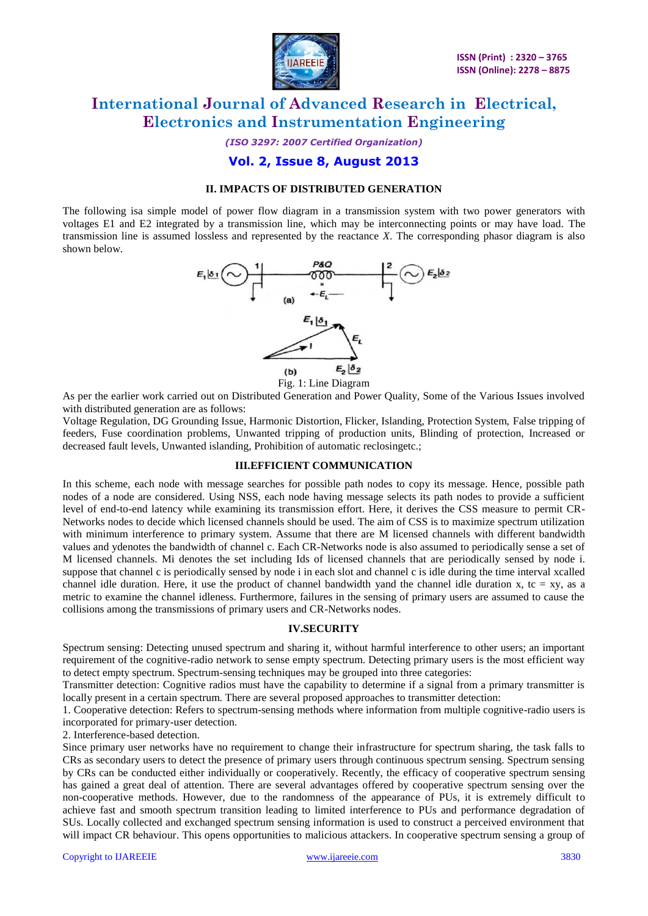

*(ISO 3297: 2007 Certified Organization)*

### **Vol. 2, Issue 8, August 2013**

### **II. IMPACTS OF DISTRIBUTED GENERATION**

The following isa simple model of power flow diagram in a transmission system with two power generators with voltages E1 and E2 integrated by a transmission line, which may be interconnecting points or may have load. The transmission line is assumed lossless and represented by the reactance *X*. The corresponding phasor diagram is also shown below.



Fig. 1: Line Diagram

As per the earlier work carried out on Distributed Generation and Power Quality, Some of the Various Issues involved with distributed generation are as follows:

Voltage Regulation, DG Grounding Issue, Harmonic Distortion, Flicker, Islanding, Protection System, False tripping of feeders, Fuse coordination problems, Unwanted tripping of production units, Blinding of protection, Increased or decreased fault levels, Unwanted islanding, Prohibition of automatic reclosingetc.;

### **III.EFFICIENT COMMUNICATION**

In this scheme, each node with message searches for possible path nodes to copy its message. Hence, possible path nodes of a node are considered. Using NSS, each node having message selects its path nodes to provide a sufficient level of end-to-end latency while examining its transmission effort. Here, it derives the CSS measure to permit CR-Networks nodes to decide which licensed channels should be used. The aim of CSS is to maximize spectrum utilization with minimum interference to primary system. Assume that there are M licensed channels with different bandwidth values and ydenotes the bandwidth of channel c. Each CR-Networks node is also assumed to periodically sense a set of M licensed channels. Mi denotes the set including Ids of licensed channels that are periodically sensed by node i. suppose that channel c is periodically sensed by node i in each slot and channel c is idle during the time interval xcalled channel idle duration. Here, it use the product of channel bandwidth yand the channel idle duration x, tc = xy, as a metric to examine the channel idleness. Furthermore, failures in the sensing of primary users are assumed to cause the collisions among the transmissions of primary users and CR-Networks nodes.

### **IV.SECURITY**

Spectrum sensing: Detecting unused spectrum and sharing it, without harmful interference to other users; an important requirement of the cognitive-radio network to sense empty spectrum. Detecting primary users is the most efficient way to detect empty spectrum. Spectrum-sensing techniques may be grouped into three categories:

Transmitter detection: Cognitive radios must have the capability to determine if a signal from a primary transmitter is locally present in a certain spectrum. There are several proposed approaches to transmitter detection:

1. Cooperative detection: Refers to spectrum-sensing methods where information from multiple cognitive-radio users is incorporated for primary-user detection.

2. Interference-based detection.

Since primary user networks have no requirement to change their infrastructure for spectrum sharing, the task falls to CRs as secondary users to detect the presence of primary users through continuous spectrum sensing. Spectrum sensing by CRs can be conducted either individually or cooperatively. Recently, the efficacy of cooperative spectrum sensing has gained a great deal of attention. There are several advantages offered by cooperative spectrum sensing over the non-cooperative methods. However, due to the randomness of the appearance of PUs, it is extremely difficult to achieve fast and smooth spectrum transition leading to limited interference to PUs and performance degradation of SUs. Locally collected and exchanged spectrum sensing information is used to construct a perceived environment that will impact CR behaviour. This opens opportunities to malicious attackers. In cooperative spectrum sensing a group of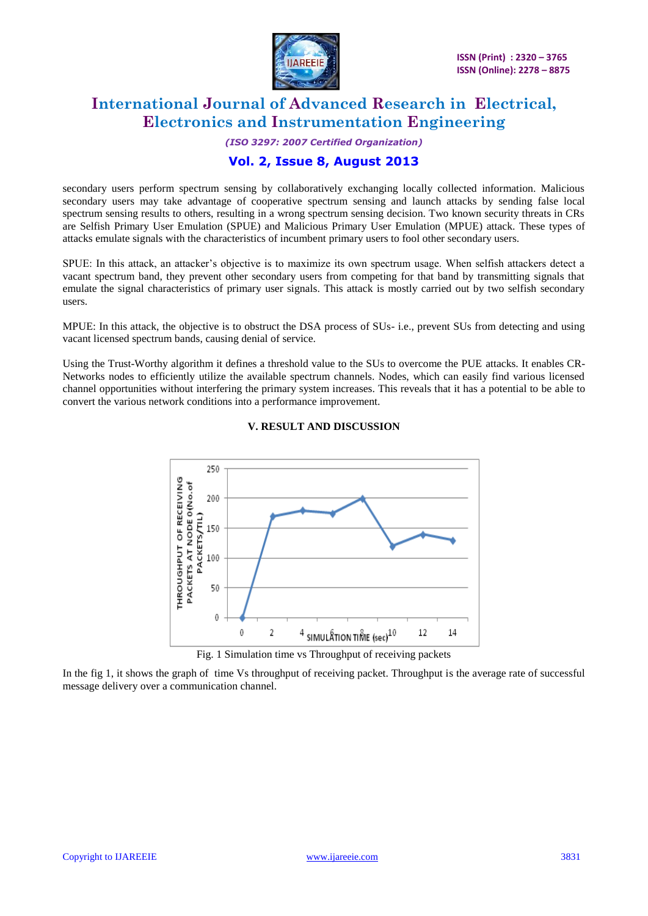

# *(ISO 3297: 2007 Certified Organization)*

### **Vol. 2, Issue 8, August 2013**

secondary users perform spectrum sensing by collaboratively exchanging locally collected information. Malicious secondary users may take advantage of cooperative spectrum sensing and launch attacks by sending false local spectrum sensing results to others, resulting in a wrong spectrum sensing decision. Two known security threats in CRs are Selfish Primary User Emulation (SPUE) and Malicious Primary User Emulation (MPUE) attack. These types of attacks emulate signals with the characteristics of incumbent primary users to fool other secondary users.

SPUE: In this attack, an attacker's objective is to maximize its own spectrum usage. When selfish attackers detect a vacant spectrum band, they prevent other secondary users from competing for that band by transmitting signals that emulate the signal characteristics of primary user signals. This attack is mostly carried out by two selfish secondary users.

MPUE: In this attack, the objective is to obstruct the DSA process of SUs- i.e., prevent SUs from detecting and using vacant licensed spectrum bands, causing denial of service.

Using the Trust-Worthy algorithm it defines a threshold value to the SUs to overcome the PUE attacks. It enables CR-Networks nodes to efficiently utilize the available spectrum channels. Nodes, which can easily find various licensed channel opportunities without interfering the primary system increases. This reveals that it has a potential to be able to convert the various network conditions into a performance improvement.



### **V. RESULT AND DISCUSSION**

Fig. 1 Simulation time vs Throughput of receiving packets

In the fig 1, it shows the graph of time Vs throughput of receiving packet. Throughput is the average rate of successful message delivery over a communication channel.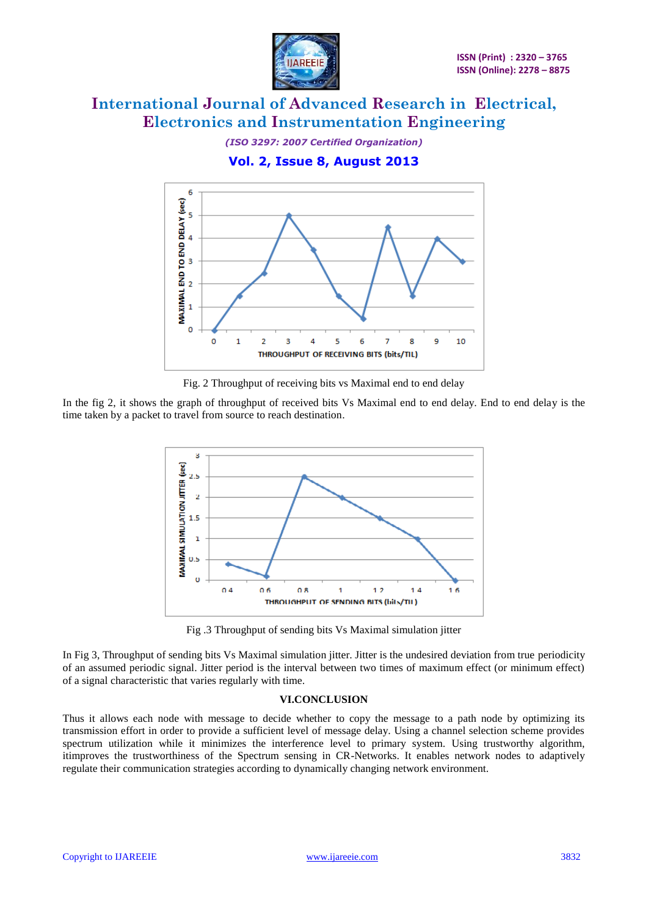

*(ISO 3297: 2007 Certified Organization)* **Vol. 2, Issue 8, August 2013**



Fig. 2 Throughput of receiving bits vs Maximal end to end delay

In the fig 2, it shows the graph of throughput of received bits Vs Maximal end to end delay. End to end delay is the time taken by a packet to travel from source to reach destination.



Fig .3 Throughput of sending bits Vs Maximal simulation jitter

In Fig 3, Throughput of sending bits Vs Maximal simulation jitter. Jitter is the undesired deviation from true periodicity of an assumed periodic signal. Jitter period is the interval between two times of maximum effect (or minimum effect) of a signal characteristic that varies regularly with time.

### **VI.CONCLUSION**

Thus it allows each node with message to decide whether to copy the message to a path node by optimizing its transmission effort in order to provide a sufficient level of message delay. Using a channel selection scheme provides spectrum utilization while it minimizes the interference level to primary system. Using trustworthy algorithm, itimproves the trustworthiness of the Spectrum sensing in CR-Networks. It enables network nodes to adaptively regulate their communication strategies according to dynamically changing network environment.